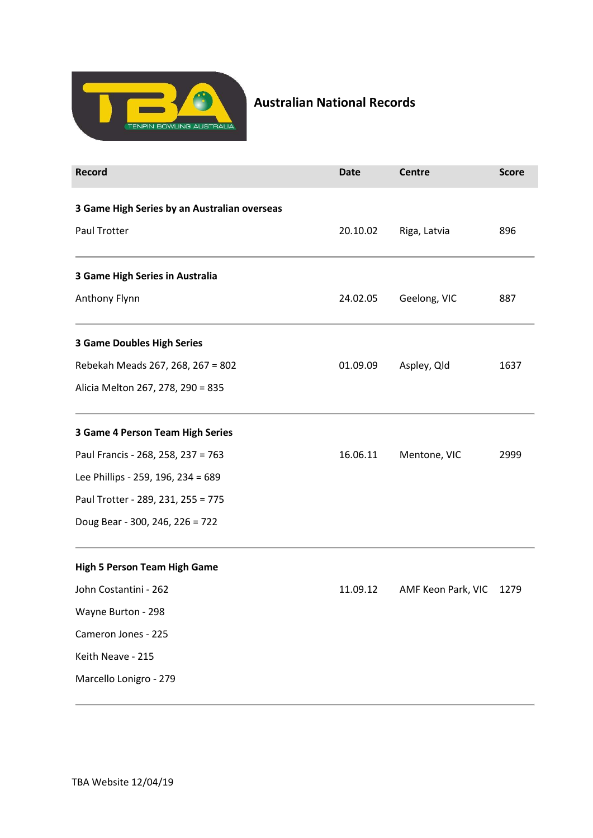

## Australian National Records

| <b>Record</b>                                | <b>Date</b> | <b>Centre</b>      | <b>Score</b> |
|----------------------------------------------|-------------|--------------------|--------------|
| 3 Game High Series by an Australian overseas |             |                    |              |
| Paul Trotter                                 | 20.10.02    | Riga, Latvia       | 896          |
| 3 Game High Series in Australia              |             |                    |              |
| Anthony Flynn                                | 24.02.05    | Geelong, VIC       | 887          |
| <b>3 Game Doubles High Series</b>            |             |                    |              |
| Rebekah Meads 267, 268, 267 = 802            | 01.09.09    | Aspley, Qld        | 1637         |
| Alicia Melton 267, 278, 290 = 835            |             |                    |              |
| 3 Game 4 Person Team High Series             |             |                    |              |
| Paul Francis - 268, 258, 237 = 763           | 16.06.11    | Mentone, VIC       | 2999         |
| Lee Phillips - 259, 196, 234 = 689           |             |                    |              |
| Paul Trotter - 289, 231, 255 = 775           |             |                    |              |
| Doug Bear - 300, 246, 226 = 722              |             |                    |              |
| <b>High 5 Person Team High Game</b>          |             |                    |              |
| John Costantini - 262                        | 11.09.12    | AMF Keon Park, VIC | 1279         |
| Wayne Burton - 298                           |             |                    |              |
| Cameron Jones - 225                          |             |                    |              |
| Keith Neave - 215                            |             |                    |              |
| Marcello Lonigro - 279                       |             |                    |              |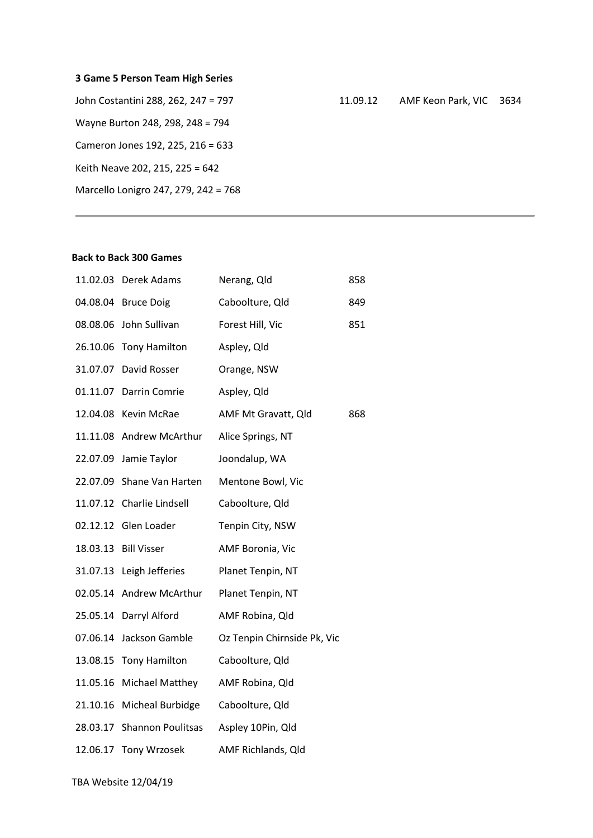| 3 Game 5 Person Team High Series    |          |  |
|-------------------------------------|----------|--|
| John Costantini 288, 262, 247 = 797 | 11.09.12 |  |
| Wayne Burton 248, 298, 248 = 794    |          |  |
| Cameron Jones 192, 225, 216 = 633   |          |  |

Keith Neave 202, 215, 225 = 642

Marcello Lonigro 247, 279, 242 = 768

## AMF Keon Park, VIC 3634

## Back to Back 300 Games

| 11.02.03 Derek Adams       | Nerang, Qld                 | 858 |
|----------------------------|-----------------------------|-----|
| 04.08.04 Bruce Doig        | Caboolture, Qld             | 849 |
| 08.08.06 John Sullivan     | Forest Hill, Vic            | 851 |
| 26.10.06 Tony Hamilton     | Aspley, Qld                 |     |
| 31.07.07 David Rosser      | Orange, NSW                 |     |
| 01.11.07 Darrin Comrie     | Aspley, Qld                 |     |
| 12.04.08 Kevin McRae       | AMF Mt Gravatt, Qld         | 868 |
| 11.11.08 Andrew McArthur   | Alice Springs, NT           |     |
| 22.07.09 Jamie Taylor      | Joondalup, WA               |     |
| 22.07.09 Shane Van Harten  | Mentone Bowl, Vic           |     |
| 11.07.12 Charlie Lindsell  | Caboolture, Qld             |     |
| 02.12.12 Glen Loader       | Tenpin City, NSW            |     |
| 18.03.13 Bill Visser       | AMF Boronia, Vic            |     |
| 31.07.13 Leigh Jefferies   | Planet Tenpin, NT           |     |
| 02.05.14 Andrew McArthur   | Planet Tenpin, NT           |     |
| 25.05.14 Darryl Alford     | AMF Robina, Qld             |     |
| 07.06.14 Jackson Gamble    | Oz Tenpin Chirnside Pk, Vic |     |
|                            |                             |     |
| 13.08.15 Tony Hamilton     | Caboolture, Qld             |     |
| 11.05.16 Michael Matthey   | AMF Robina, Qld             |     |
| 21.10.16 Micheal Burbidge  | Caboolture, Qld             |     |
| 28.03.17 Shannon Poulitsas | Aspley 10Pin, Qld           |     |